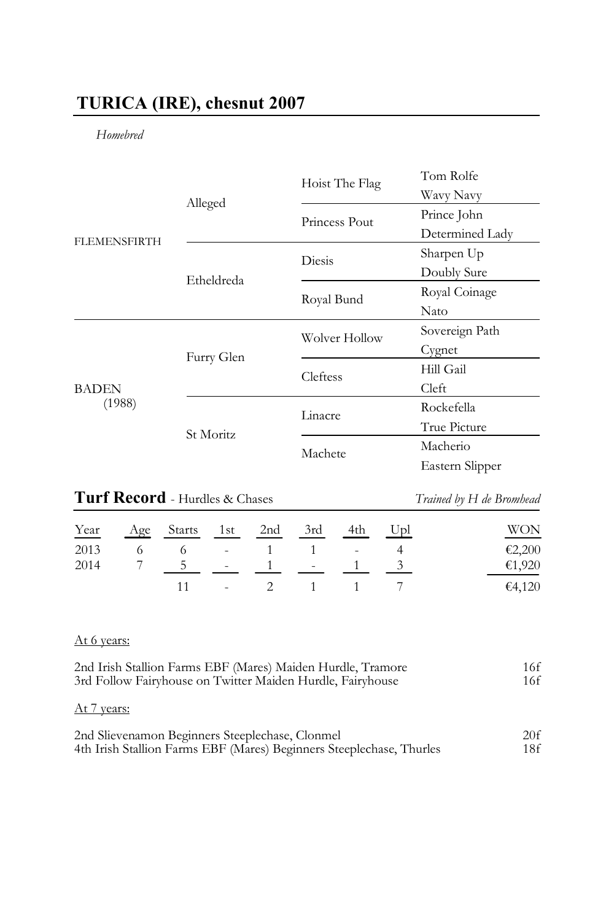# **TURICA (IRE), chesnut 2007**

## *Homebred*

|                        |            | Hoist The Flag | Tom Rolfe       |
|------------------------|------------|----------------|-----------------|
| <b>FLEMENSFIRTH</b>    | Alleged    |                | Wavy Navy       |
|                        |            | Princess Pout  | Prince John     |
|                        |            |                | Determined Lady |
|                        |            | Diesis         | Sharpen Up      |
|                        | Etheldreda |                | Doubly Sure     |
|                        |            | Royal Bund     | Royal Coinage   |
|                        |            |                | Nato            |
| <b>BADEN</b><br>(1988) | Furry Glen | Wolver Hollow  | Sovereign Path  |
|                        |            |                | Cygnet          |
|                        |            | Cleftess       | Hill Gail       |
|                        |            |                | Cleft           |
|                        | St Moritz  | Linacre        | Rockefella      |
|                        |            |                | True Picture    |
|                        |            | Machete        | Macherio        |
|                        |            |                | Eastern Slipper |

# **Turf Record** - Hurdles & Chases *Trained by H de Bromhead*

| Year | Age Starts 1st 2nd 3rd 4th Upl |  |                          |  | WON    |
|------|--------------------------------|--|--------------------------|--|--------|
| 2013 | 6 6 - 1 1 - 4                  |  |                          |  | €2,200 |
| 2014 | $5 - 1 - 1$ $1$ $3$            |  |                          |  | €1,920 |
|      |                                |  | $11 \t 2 \t 1 \t 1 \t 7$ |  | €4,120 |

## At 6 years:

| 2nd Irish Stallion Farms EBF (Mares) Maiden Hurdle, Tramore<br>3rd Follow Fairyhouse on Twitter Maiden Hurdle, Fairyhouse |     |  |  |
|---------------------------------------------------------------------------------------------------------------------------|-----|--|--|
| At 7 years:                                                                                                               |     |  |  |
| 2nd Slievenamon Beginners Steeplechase, Clonmel                                                                           | 20f |  |  |
| 4th Irish Stallion Farms EBF (Mares) Beginners Steeplechase, Thurles                                                      | 18f |  |  |